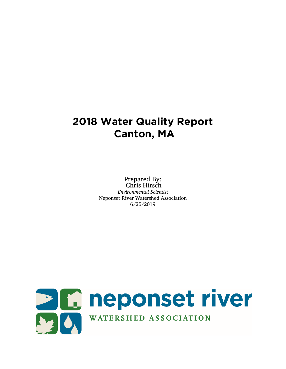# **2018 Water Quality Report Canton, MA**

Prepared By: Chris Hirsch *Environmental Scientist* Neponset River Watershed Association 6/25/2019

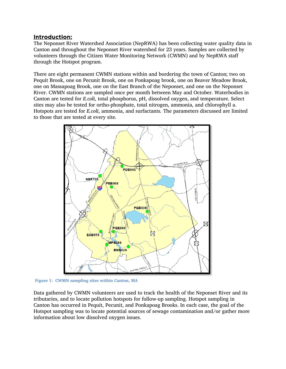#### Introduction:

The Neponset River Watershed Association (NepRWA) has been collecting water quality data in Canton and throughout the Neponset River watershed for 23 years. Samples are collected by volunteers through the Citizen Water Monitoring Network (CWMN) and by NepRWA staff through the Hotspot program.

There are eight permanent CWMN stations within and bordering the town of Canton; two on Pequit Brook, one on Pecunit Brook, one on Ponkapoag brook, one on Beaver Meadow Brook, one on Massapoag Brook, one on the East Branch of the Neponset, and one on the Neponset River. CWMN stations are sampled once per month between May and October. Waterbodies in Canton are tested for *E.coli*, total phosphorus, pH, dissolved oxygen, and temperature. Select sites may also be tested for ortho-phosphate, total nitrogen, ammonia, and chlorophyll a. Hotspots are tested for *E.coli*, ammonia, and surfactants. The parameters discussed are limited to those that are tested at every site.



**Figure 1: CWMN sampling sites within Canton, MA**

Data gathered by CWMN volunteers are used to track the health of the Neponset River and its tributaries, and to locate pollution hotspots for follow-up sampling. Hotspot sampling in Canton has occurred in Pequit, Pecunit, and Ponkapoag Brooks. In each case, the goal of the Hotspot sampling was to locate potential sources of sewage contamination and/or gather more information about low dissolved oxygen issues.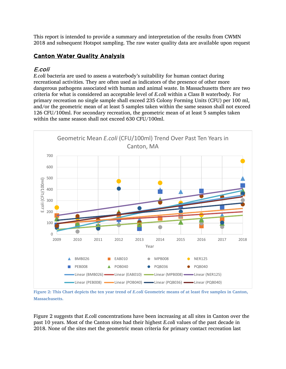This report is intended to provide a summary and interpretation of the results from CWMN 2018 and subsequent Hotspot sampling. The raw water quality data are available upon request

# Canton Water Quality Analysis

# E.coli

*E.coli* bacteria are used to assess a waterbody's suitability for human contact during recreational activities. They are often used as indicators of the presence of other more dangerous pathogens associated with human and animal waste. In Massachusetts there are two criteria for what is considered an acceptable level of *E.coli* within a Class B waterbody. For primary recreation no single sample shall exceed 235 Colony Forming Units (CFU) per 100 ml, and/or the geometric mean of at least 5 samples taken within the same season shall not exceed 126 CFU/100ml. For secondary recreation, the geometric mean of at least 5 samples taken within the same season shall not exceed 630 CFU/100ml.



Figure 2: This Chart depicts the ten year trend of *E.coli* Geometric means of at least five samples in Canton, **Massachusetts.** 

Figure 2 suggests that *E.coli* concentrations have been increasing at all sites in Canton over the past 10 years. Most of the Canton sites had their highest *E.coli* values of the past decade in 2018. None of the sites met the geometric mean criteria for primary contact recreation last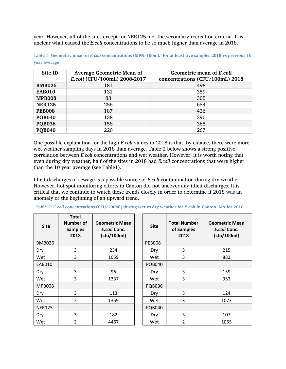year. However, all of the sites except for NER125 met the secondary recreation criteria. It is unclear what caused the *E.coli* concentrations to be so much higher than average in 2018.

| Site ID       | <b>Average Geometric Mean of</b><br>E.coli (CFU/100mL) 2008-2017 | Geometric mean of E.coli<br>concentrations (CFU/100mL) 2018 |
|---------------|------------------------------------------------------------------|-------------------------------------------------------------|
| <b>BMB026</b> | 181                                                              | 498                                                         |
| <b>EAB010</b> | 131                                                              | 359                                                         |
| <b>MPB008</b> | 83                                                               | 305                                                         |
| <b>NER125</b> | 256                                                              | 654                                                         |
| <b>PEB008</b> | 187                                                              | 436                                                         |
| <b>POB040</b> | 138                                                              | 390                                                         |
| <b>PQB036</b> | 158                                                              | 365                                                         |
| <b>POB040</b> | 220                                                              | 267                                                         |

**Table 1: Geometric mean of** *E.coli* **concentrations (MPN/100mL) for at least five samples 2018 vs previous 10 year average**

One possible explanation for the high *E.coli* values in 2018 is that, by chance, there were more wet weather sampling days in 2018 than average. Table 2 below shows a strong positive correlation between *E.coli* concentrations and wet weather. However, it is worth noting that even during dry weather, half of the sites in 2018 had *E.coli* concentrations that were higher than the 10 year average (see Table1).

Illicit discharges of sewage is a possible source of *E.coli* contamination during dry weather. However, hot spot monitoring efforts in Canton did not uncover any illicit discharges. It is critical that we continue to watch these trends closely in order to determine if 2018 was an anomaly or the beginning of an upward trend.

| <b>Site</b>   | <b>Total</b><br><b>Number of</b><br><b>Samples</b><br>2018 | <b>Geometric Mean</b><br>E.coli Conc.<br>(cfu/100ml) | <b>Site</b>   | <b>Total Number</b><br>of Samples<br>2018 | <b>Geometric Mean</b><br>E.coli Conc.<br>(cfu/100ml) |
|---------------|------------------------------------------------------------|------------------------------------------------------|---------------|-------------------------------------------|------------------------------------------------------|
| <b>BMB026</b> |                                                            |                                                      | <b>PEB008</b> |                                           |                                                      |
| Dry           | 3                                                          | 234                                                  | Dry           | 3                                         | 215                                                  |
| Wet           | 3                                                          | 1059                                                 | Wet           | 3                                         | 882                                                  |
| EAB010        |                                                            |                                                      | <b>POB040</b> |                                           |                                                      |
| Dry           | 3                                                          | 96                                                   | Dry           | 3                                         | 159                                                  |
| Wet           | 3                                                          | 1337                                                 | Wet           | 3                                         | 953                                                  |
| <b>MPB008</b> |                                                            |                                                      | <b>PQB036</b> |                                           |                                                      |
| Dry           | 3                                                          | 113                                                  | Dry           | 3                                         | 124                                                  |
| Wet           | 2                                                          | 1359                                                 | Wet           | 3                                         | 1073                                                 |
| <b>NER125</b> |                                                            |                                                      | <b>PQB040</b> |                                           |                                                      |
| Dry           | 3                                                          | 182                                                  | Dry           | 3                                         | 107                                                  |
| Wet           | 2                                                          | 4467                                                 | Wet           | 2                                         | 1055                                                 |

**Table 2:** *E.coli* **concentrations (CFU/100ml) during wet vs dry weather for** *E.coli* **in Canton, MA for 2018**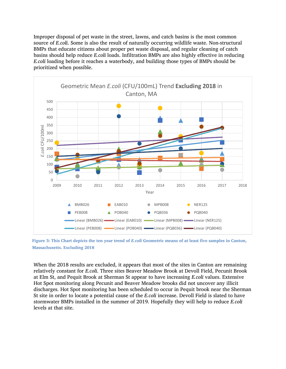Improper disposal of pet waste in the street, lawns, and catch basins is the most common source of *E.coli*. Some is also the result of naturally occurring wildlife waste. Non-structural BMPs that educate citizens about proper pet waste disposal, and regular cleaning of catch basins should help reduce *E.coli* loads. Infiltration BMPs are also highly effective in reducing *E.coli* loading before it reaches a waterbody, and building those types of BMPs should be prioritized when possible.



**Figure 3: This Chart depicts the ten year trend of** *E.coli* **Geometric means of at least five samples in Canton, Massachusetts. Excluding 2018**

When the 2018 results are excluded, it appears that most of the sites in Canton are remaining relatively constant for *E.coli*. Three sites Beaver Meadow Brook at Devoll Field, Pecunit Brook at Elm St, and Pequit Brook at Sherman St appear to have increasing *E.coli* values. Extensive Hot Spot monitoring along Pecunit and Beaver Meadow brooks did not uncover any illicit discharges. Hot Spot monitoring has been scheduled to occur in Pequit brook near the Sherman St site in order to locate a potential cause of the *E.coli* increase. Devoll Field is slated to have stormwater BMPs installed in the summer of 2019. Hopefully they will help to reduce *E.coli* levels at that site.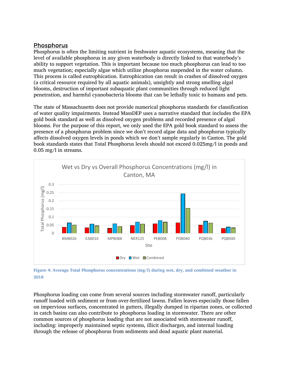### **Phosphorus**

Phosphorus is often the limiting nutrient in freshwater aquatic ecosystems, meaning that the level of available phosphorus in any given waterbody is directly linked to that waterbody's ability to support vegetation. This is important because too much phosphorus can lead to too much vegetation; especially algae which utilize phosphorus suspended in the water column. This process is called eutrophication. Eutrophication can result in crashes of dissolved oxygen (a critical resource required by all aquatic animals), unsightly and strong smelling algal blooms, destruction of important subaquatic plant communities through reduced light penetration, and harmful cyanobacteria blooms that can be lethally toxic to humans and pets.

The state of Massachusetts does not provide numerical phosphorus standards for classification of water quality impairments. Instead MassDEP uses a narrative standard that includes the EPA gold book standard as well as dissolved oxygen problems and recorded presence of algal blooms. For the purpose of this report, we only used the EPA gold book standard to assess the presence of a phosphorus problem since we don't record algae data and phosphorus typically affects dissolved oxygen levels in ponds which we don't sample regularly in Canton. The gold book standards states that Total Phosphorus levels should not exceed 0.025mg/l in ponds and 0.05 mg/l in streams.



**Figure 4: Average Total Phosphorus concentrations (mg/l) during wet, dry, and combined weather in 2018**

Phosphorus loading can come from several sources including stormwater runoff, particularly runoff loaded with sediment or from over-fertilized lawns. Fallen leaves especially those fallen on impervious surfaces, concentrated in gutters, illegally dumped in riparian zones, or collected in catch basins can also contribute to phosphorus loading in stormwater. There are other common sources of phosphorus loading that are not associated with stormwater runoff, including: improperly maintained septic systems, illicit discharges, and internal loading through the release of phosphorus from sediments and dead aquatic plant material.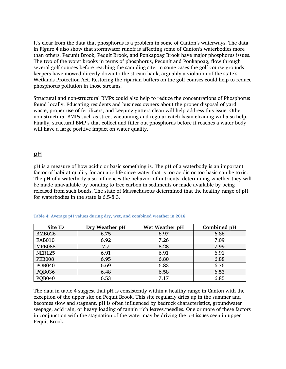It's clear from the data that phosphorus is a problem in some of Canton's waterways. The data in Figure 4 also show that stormwater runoff is affecting some of Canton's waterbodies more than others. Pecunit Brook, Pequit Brook, and Ponkapoag Brook have major phosphorus issues. The two of the worst brooks in terms of phosphorus, Pecunit and Ponkapoag, flow through several golf courses before reaching the sampling site. In some cases the golf course grounds keepers have mowed directly down to the stream bank, arguably a violation of the state's Wetlands Protection Act. Restoring the riparian buffers on the golf courses could help to reduce phosphorus pollution in those streams.

Structural and non-structural BMPs could also help to reduce the concentrations of Phosphorus found locally. Educating residents and business owners about the proper disposal of yard waste, proper use of fertilizers, and keeping gutters clean will help address this issue. Other non-structural BMPs such as street vacuuming and regular catch basin cleaning will also help. Finally, structural BMP's that collect and filter out phosphorus before it reaches a water body will have a large positive impact on water quality.

#### pH

pH is a measure of how acidic or basic something is. The pH of a waterbody is an important factor of habitat quality for aquatic life since water that is too acidic or too basic can be toxic. The pH of a waterbody also influences the behavior of nutrients, determining whether they will be made unavailable by bonding to free carbon in sediments or made available by being released from such bonds. The state of Massachusetts determined that the healthy range of pH for waterbodies in the state is 6.5-8.3.

| Site ID       | Dry Weather pH | Wet Weather pH | Combined pH |
|---------------|----------------|----------------|-------------|
| <b>BMB026</b> | 6.75           | 6.97           | 6.86        |
| <b>EAB010</b> | 6.92           | 7.26           | 7.09        |
| <b>MPB088</b> | 7.7            | 8.28           | 7.99        |
| <b>NER125</b> | 6.91           | 6.91           | 6.91        |
| <b>PEB008</b> | 6.95           | 6.80           | 6.88        |
| <b>POB040</b> | 6.69           | 6.83           | 6.76        |
| <b>PQB036</b> | 6.48           | 6.58           | 6.53        |
| <b>POB040</b> | 6.53           | 7.17           | 6.85        |

#### **Table 4: Average pH values during dry, wet, and combined weather in 2018**

The data in table 4 suggest that pH is consistently within a healthy range in Canton with the exception of the upper site on Pequit Brook. This site regularly dries up in the summer and becomes slow and stagnant. pH is often influenced by bedrock characteristics, groundwater seepage, acid rain, or heavy loading of tannin rich leaves/needles. One or more of these factors in conjunction with the stagnation of the water may be driving the pH issues seen in upper Pequit Brook.